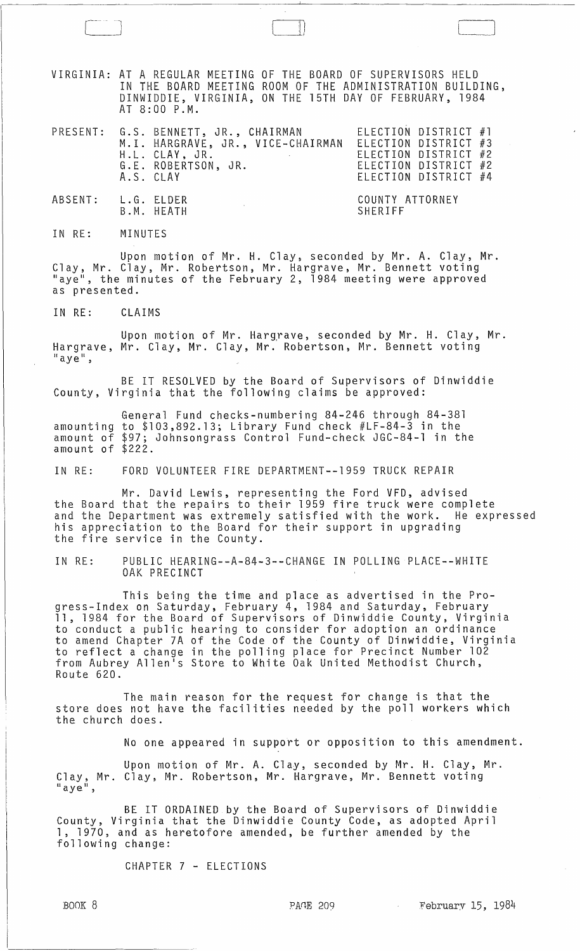VIRGINIA: AT A REGULAR MEETING OF THE BOARD OF SUPERVISORS HELD IN THE BOARD MEETING ROOM OF THE ADMINISTRATION BUILDING, DINWIDDIE, VIRGINIA, ON THE 15TH DAY OF FEBRUARY, 1984 AT 8:00 P.M.

 $\begin{picture}(120,15) \put(0,0){\line(1,0){155}} \put(15,0){\line(1,0){155}} \put(15,0){\line(1,0){155}} \put(15,0){\line(1,0){155}} \put(15,0){\line(1,0){155}} \put(15,0){\line(1,0){155}} \put(15,0){\line(1,0){155}} \put(15,0){\line(1,0){155}} \put(15,0){\line(1,0){155}} \put(15,0){\line(1,0){155}} \put(15,0){\line(1,0){155}}$ 

|                    | A.S. CLAY | PRESENT: G.S. BENNETT, JR., CHAIRMAN ELECTION DISTRICT #1<br>M.I. HARGRAVE, JR., VICE-CHAIRMAN ELECTION DISTRICT #3<br>H.L. CLAY, JR.<br>and the state of the state<br>G.E. ROBERTSON, JR. | ELECTION DISTRICT #2<br>ELECTION DISTRICT #2<br>ELECTION DISTRICT #4 |
|--------------------|-----------|--------------------------------------------------------------------------------------------------------------------------------------------------------------------------------------------|----------------------------------------------------------------------|
| ABSENT: L.G. ELDER |           | B.M. HEATH                                                                                                                                                                                 | COUNTY ATTORNEY<br>SHERIFF                                           |

IN RE: MINUTES

Upon motion of Mr. H. Clay, seconded by Mr. A. Clay, Mr. Clay, Mr. Clay, Mr. Robertson, Mr. Hargrave, Mr. Bennett voting "aye", the minutes of the February 2, 1984 meeting were approved as presented.

IN RE: CLAIMS

Upon motion of Mr. Harg,rave, seconded by Mr. H. Clay, Mr. Hargrave, Mr. Clay, Mr. Clay, Mr. Robertson, Mr. Bennett voting<br>"aye",

BE IT RESOLVED by the Board of Supervisors of Dinwiddie County. Virginia that the following claims be approved:

General Fund checks-numbering 84-246 through 84-381 amounting to \$103,892.13; Library Fund check #LF-84-3 in the amount of \$97; Johnsongrass Control Fund-check JGC-84-1 in the amount of \$222.

IN RE: FORD VOLUNTEER FIRE DEPARTMENT--1959 TRUCK REPAIR

Mr. David Lewis, representing the Ford VFD, advised the Board that the repairs to their 1959 fire truck were complete and the Department was extremely satisfied with the work. He expressed his appreciation to the Board for their support in upgrading the fire service in the County.

IN RE: PUBLIC HEARING--A-84-3--CHANGE IN POLLING PLACE--WHITE OAK PRECINCT

This being the time and place as advertised in the Progress-Index on Saturday, February 4, 1984 and Saturday, February<br>11, 1984 for the Board of Supervisors of Dinwiddie County, Virginia to conduct a public hearing to consider for adoption an ordinance to amend Chapter 7A of the Code of the County of Dinwiddie, Virginia to reflect a change in the polling place for Precinct Number 102 from Aubrey Allen's Store to White Oak United Methodist Church. Route 620.

The main reason for the request for change is that the store does not have the facilities needed by the poll workers which the church does.

No one appeared in support or opposition to this amendment.

Upon motion of Mr. A. Clay, seconded by Mr. H. Clay, Mr. Clay, Mr. Clay, Mr. Robertson, Mr. Hargrave, Mr. Bennett voting<br>"aye",

BE IT ORDAINED by the Board of Supervisors of Dinwiddie County, Virginia that the Dinwiddie County Code, as adopted April 1, 1970. and as heretofore amended, be further amended by the following change:

CHAPTER 7 - ELECTIONS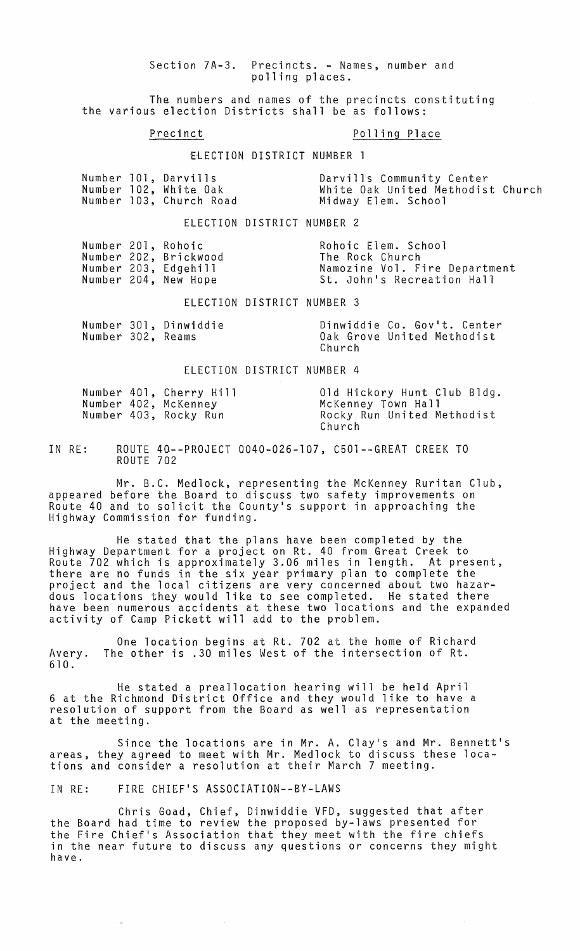Section 7A-3. Precincts. - Names, number and polling places.

The numbers and names of the precincts constituting the various election Districts shall be as follows:

## Precinct Polling Place

'ElECTION DISTRICT NUMBER 1

|  | Number 101, Darvills    | Darvills Community Center         |
|--|-------------------------|-----------------------------------|
|  | Number 102, White Oak   | White Oak United Methodist Church |
|  | Number 103, Church Road | Midway Elem. School               |

ELECTION DISTRICT NUMBER 2

|  | Number 201, Rohoic    | Rohoic Elem. School           |
|--|-----------------------|-------------------------------|
|  | Number 202, Brickwood | The Rock Church               |
|  | Number 203, Edgehill  | Namozine Vol. Fire Department |
|  | Number 204, New Hope  | St. John's Recreation Hall    |
|  |                       |                               |

ELECTION DISTRICT NUMBER 3

|                   | Number 301, Dinwiddie |        | Dinwiddie Co. Gov't. Center |  |  |  |
|-------------------|-----------------------|--------|-----------------------------|--|--|--|
| Number 302, Reams |                       |        | Oak Grove United Methodist  |  |  |  |
|                   |                       | Church |                             |  |  |  |

#### ELECTION DISTRICT NUMBER 4

|  | Number 401, Cherry Hill | Old Hickory Hunt Club Bldg. |
|--|-------------------------|-----------------------------|
|  | Number 402, McKenney    | McKenney Town Hall          |
|  | Number 403, Rocky Run   | Rocky Run United Methodist  |
|  |                         | Church                      |

IN RE: ROUTE 40--PROJECT 0040-026-107, C501--GREAT CREEK TO ROUTE 702

Mr. B.C. Medlock, representing the McKenney Ruritan Club, appeared before the Board to discuss two safety improvements on Route 40 and to solicit the County's support in approaching the Highway Commission for funding.

He stated that the plans have been completed by the Highway Department for a project on Rt. 40 from Great Creek to Route 702 which is approximately 3.06 miles in length. At present, there are no funds in the six year primary plan to complete the project and the local citizens are very concerned about two hazardous locations they would like to see completed. He stated there have been numerous accidents at these two locations and the expanded activity of Camp Pickett will add to the problem.

One location begins at Rt. 702 at the home of Richard Avery. The other is .30 miles West of the intersection of Rt. 610 .

He stated a preallocation hearing will be held April 6 at the Richmond District Office and they would like to have a resolution of support from the Board as well as representation at the meeting.

Since the locations are in Mr. A. Clay's and Mr. Bennett's areas, they agreed to meet with Mr. Medlock to discuss these locations and consider a resolution at their March 7 meeting.

IN RE: FIRE CHIEF'S ASSOCIATION--BY-LAWS

Chris Goad, Chief, Dinwiddie VFD, suggested that after the Board had time to review the proposed by-laws presented for the Fire Chief's Association that they meet with the fire chiefs in the near future to discuss any questions or concerns they might have.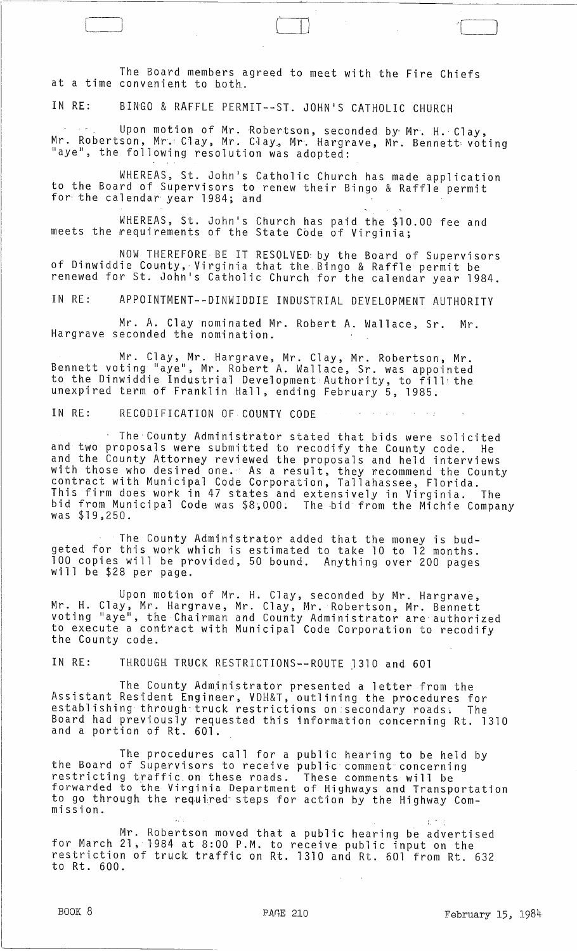The Board members agreed to meet with the Fire Chiefs at a time convenient to both.

 $\begin{picture}(150,10) \put(0,0){\line(1,0){10}} \put(15,0){\line(1,0){10}} \put(15,0){\line(1,0){10}} \put(15,0){\line(1,0){10}} \put(15,0){\line(1,0){10}} \put(15,0){\line(1,0){10}} \put(15,0){\line(1,0){10}} \put(15,0){\line(1,0){10}} \put(15,0){\line(1,0){10}} \put(15,0){\line(1,0){10}} \put(15,0){\line(1,0){10}} \put(15,0){\line($ 

IN RE: BINGO & RAFFLE PERMIT--ST. JOHN'S CATHOLIC CHURCH

Upon motion of Mr. Robertson, seconded by Mr. H. Clay, Mr. Robertson, Mr. Clay, Mr. Clay, Mr. Hargrave, Mr. Bennett voting<br>"aye", the following resolution was adopted: "aye", the following resolution was adopted:

WHEREAS, St. John's Catholic Church has made application to the Board of Supervisors to renew their Bingo & Raffle permit for'the calendar year 1984; and

WHEREAS, St. John's Church has paid the \$10.00 fee and meets the requirements of the State Code of Virginia;

NOW THEREFORE BE IT RESOLVED: by the Board of Supervisors of Dinwiddie County,· Virginia that the. Bingo & Raffle permit be renewed for St. John's Catholic Church for the calendar year 1984.

IN RE: APPOINTMENT--DINWIDDIE INDUSTRIAL DEVELOPMENT AUTHORITY

Mr. A. Clay nominated Mr. Robert A. Wallace, Sr. Mr. Hargrave seconded the nomination.

Mr. Clay, Mr. Hargrave, Mr. Clay, Mr. Robertson, Mr. Bennett voting "aye", Mr. Robert A. Wallace, Sr. was appointed to the Dinwiddie Industria" Deve'lopment Authority, to fill: the unexpired term of Franklin Hall, ending February 5, 1985.

IN RE: RECODIFICATION OF COUNTY CODE  $\mathcal{A}=\mathcal{A}(\mathcal{Q})$ 

The County Administrator stated that bids were solicited and two proposals were submitted to recodify the County code. He and the County Attorney reviewed the proposals and held interviews with those who desired one. As a result. they wecommend the County contract with Municipal Code Corporation, Tallahassee, Florida. This firm does work in 47 states and extensively in Virginia. The bid from Municipal Code was \$8,000. The bid from the Michie Company was \$19,250.

The County Administrator added that the money is budgeted for this work which is estimated to take 10 to 12 months. 100 copies will be provided, 50 bound. Anything over 200 pages<br>will be \$28 per page.

Upon motion of Mr. H. Clay, seconded by Mr. Hargrave, Mr. H. Clay, Mr. Hargrave, Mr. Clay, Mr. Robertson, Mr. Bennett voting "aye", the Chairman and County Administrator are authorized to execute a contract with Municipal Code Corporation to recodify<br>the County code.

IN RE: THROUGH TRUCK RESTRICTIONS--ROUTE 1310 and 601

The County Administrator presented a letter from the Assistant Resident Engineer, VDH&T, outlining the procedures for establishing through truck restrictions on secondary roads. The Board had previously requested this information concerning Rt. 1310 and a portion of Rt. 601.

The procedures call for a public hearing to be held by the Board of Supervisors to receive public comment concerning end bound of supervisors to receive forwarded to the Virginia Department to go through the required steps for action by the Highway Commission. These comments wi 11 be of Highways and Transportation<br>action by the Highway Com-

Mr. Robertson moved that a public hearing be advertised for March 21, 1984 at 8:00 P.M. to receive public input on the restriction of truck traffic on Rt. 1310 and Rt. 601 from Rt. 632 to Rt. 600.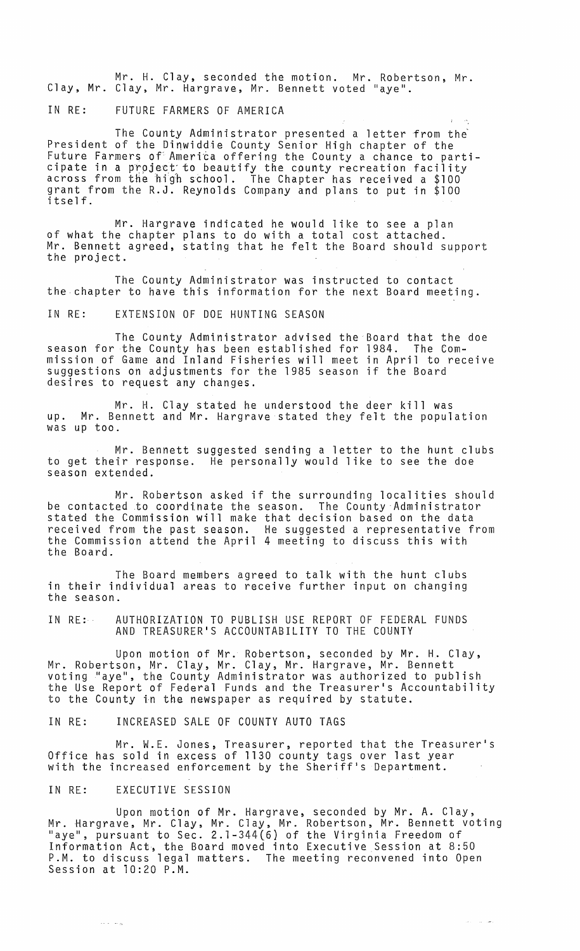Mr. H. Clay, seconded the motion. Mr. Robertson, Mr. Clay, Mr. Clay, Mr. Hargrave, Mr. Bennett voted "aye".

IN RE: FUTURE FARMERS OF AMERICA

The County Administrator presented a letter from the President of the Dinwiddie County Senior High chapter of the Future Farmers of America offering the County a chance to parti-<br>cipate in a project to beautify the county recreation facility across from the high school. The Chapter has received a \$100 grant from the R.J. Reynolds Company and plans to put in \$100 itself.

Mr. Hargrave indicated he would like to see a plan of what the chapter plans to do with a total cost attached. Mr. Bennett agreed, stating that he felt the Board should support<br>the project.

The County Administrator was instructed to contact the chapter to have this information for the next Board meeting.

IN RE: EXTENSION OF DOE HUNTING SEASON

The County Administrator advised the Board that the doe season for the County has been established for 1984. The Commission of Game and Inland Fisheries will meet in April to receive suggestions on adjustments for the 1985 season if the Board desires to request any changes.

Mr. H. Clay stated he understood the deer kill was up. Mr. Bennett and Mr. Hargrave stated they felt the population was up too.

Mr. Bennett suggested sending a letter to the hunt clubs to get their response. He personally would like to see the doe season extended.

Mr. Robertson asked if the surrounding localities should be contacted .to coordinate the season. The County Administrator stated the Commission will make that decision based on the data received from the past season. He suggested a representative from the Commission attend the April 4 meeting to discuss this with the Board.

The Board members agreed to talk with the hunt clubs in their individual areas to receive further input on changing the season.

IN RE: AUTHORIZATION TO PUBLISH USE REPORT OF FEDERAL FUNDS AND TREASURER'S ACCOUNTABILITY TO THE COUNTY

Upon motion of Mr. Robertson, seconded by Mr. H. Clay, Mr. Robertson, Mr. Clay, Mr. Clay, Mr. Hargrave, Mr. Bennett voting "aye", the County Administrator was authorized to publish the Use Report of Federal Funds and the Treasurer's Accountability to the County in the newspaper as required by statute.

IN RE: INCREASED SALE OF COUNTY AUTO TAGS

Mr. W.E. Jones, Treasurer, reported that the Treasurer's Office has sold in excess of 1130 county tags over last year with the increased enforcement by the Sheriff's Department.

# IN RE: EXECUTIVE SESSION

Upon motion of Mr. Hargrave, seconded by Mr. A. Clay, Mr. Hargrave, Mr. Clay, Mr. Clay, Mr. Robertson, Mr. Bennett voting "aye", pursuant to Sec. 2.1-344(6) of the Virginia Freedom of Information Act, the Board moved into Executive Session at 8:50 P.M. to discuss legal matters. The meeting reconvened into Open Session at 10:20 P.M.

 $\hat{\alpha}$  ,  $\hat{\beta}$  ,  $\hat{\alpha}$  ,  $\hat{\beta}$  ,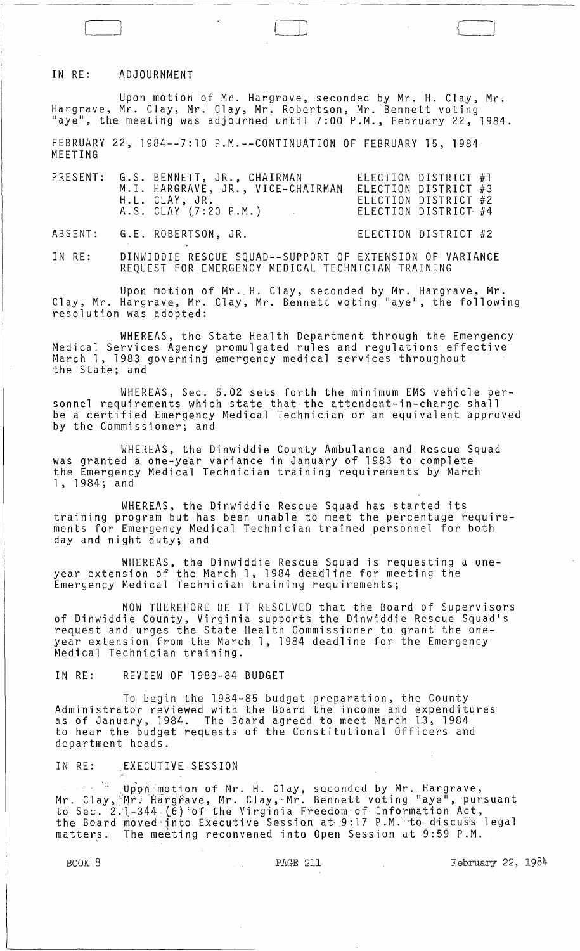### IN RE: ADJOURNMENT

Upon motion Qf Mr. Hargrave, seconded by Mr. H. Clay, Mr. Hargrave, Mr. Clay, Mr. Clay, Mr. Robertson, Mr. Bennett voting "aye", the meeting was adjourned until 7:00 P.M., February 22, 1984.

<sup>~</sup>!

FEBRUARY 22, 1984--7:10 P.M.--CONTINUATION OF FEBRUARY 15, 1984 MEETING

|  | PRESENT: G.S. BENNETT, JR., CHAIRMAN<br>M.I. HARGRAVE, JR., VICE-CHAIRMAN<br>H.L. CLAY, JR.<br>A.S. CLAY (7:20 P.M.) | ELECTION DISTRICT #1<br>ELECTION DISTRICT #3<br>ELECTION DISTRICT #2<br>ELECTION DISTRICT #4 |  |
|--|----------------------------------------------------------------------------------------------------------------------|----------------------------------------------------------------------------------------------|--|
|  | ABSENT: G.E. ROBERTSON, JR.                                                                                          | ELECTION DISTRICT #2                                                                         |  |

IN RE: DINWIDDIE RESCUE SQUAD--SUPPORT OF EXTENSION OF VARIANCE REQUEST FOR EMERGENCY MEDICAL TECHNICIAN TRAINING

Upon motion of Mr. H. Clay, seconded by Mr. Hargrave, Mr. Clay, Mr. Hargrave, Mr. Clay, Mr. Bennett voting "aye", the following resolution was adopted:

WHEREAS, the State Health Department through the Emergency Medical Services Agency promulgated rules and regulations effective March 1, 1983 governing emergency medical services throughout the State; and

WHEREAS, Sec. 5.02 sets forth the minimum EMS vehicle personnel requirements which state that the attendent-in-charge shall be a certified Emergency Medical Technician or an equivalent approved by the Commissioner; and

WHEREAS, the Dinwiddie County Ambulance and Rescue Squad was granted a one-year variance in January of 1983 to complete the Emergency Medical Technician training requirements by March 1, 1984; and

WHEREAS, the Dinwiddie Rescue Squad has started its training program but has been unable to meet the percentage requirements for Emergency Medical Technician trained personnel for both day and night duty; and

WHEREAS, the Dinwiddie Rescue Squad is requesting a oneyear extension of the March 1, 1984 deadline for meeting the Emergency Medical Technician training requirements;

NOW THEREFORE BE IT RESOLVED that the Board of Supervisors of Dinwiddie County, Virginia supports the Dinwiddie Rescue Squad's request and 'urges the State Health Commissioner to grant the oneyear extension from the March 1, 1984 deadline for the Emergency Medical Technician training.

IN RE: REVIEW OF 1983-84 BUDGET

To begin the 1984-85 budget preparation, the County Administrator reviewed with the Board the income and expenditures as of January, 1984. The Board agreed to meet March 13, 1984 to hear the budget requests of the Constitutional Officers and department heads.

IN RE: EXECUTIVE SESSION

,  $\mathbb{S}^{\mathbb{S}^{\mathrm{u}}}$  Upon motion of Mr. H. Clay, seconded by Mr. Hargrave, Mr. Clay, Mr. Hargrave, Mr. Clay, Mr. Bennett voting "aye", pursuant to Sec. 2.  $[-344 \cdot (6)$  of the Virginia Freedom of Information Act, the Board moved into Executive Session at 9:17 P.M. to discuss legal matters. The meeting reconvened into Open Session at 9:59 P.M.

BOOK 8 **PAGE 211** PAGE 211 **February 22, 1984** 

 $\left[\begin{matrix} 1 & 1 \\ 1 & 1 \end{matrix}\right]$